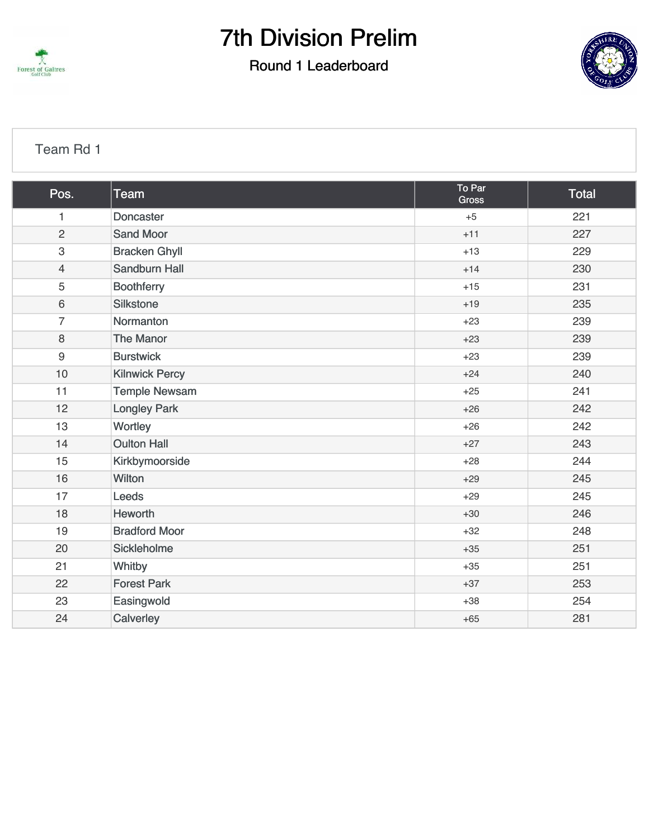

### Round 1 Leaderboard



#### [Team Rd 1](https://cdn2.golfgenius.com/v2tournaments/7001312446614895121?called_from=&round_index=1)

| Pos.           | <b>Team</b>           | To Par<br>Gross | Total |
|----------------|-----------------------|-----------------|-------|
| $\mathbf{1}$   | <b>Doncaster</b>      | $+5$            | 221   |
| $\overline{2}$ | <b>Sand Moor</b>      | $+11$           | 227   |
| $\mathsf 3$    | <b>Bracken Ghyll</b>  | $+13$           | 229   |
| $\overline{4}$ | <b>Sandburn Hall</b>  | $+14$           | 230   |
| 5              | <b>Boothferry</b>     | $+15$           | 231   |
| 6              | <b>Silkstone</b>      | $+19$           | 235   |
| $\overline{7}$ | Normanton             | $+23$           | 239   |
| 8              | <b>The Manor</b>      | $+23$           | 239   |
| $9\,$          | <b>Burstwick</b>      | $+23$           | 239   |
| 10             | <b>Kilnwick Percy</b> | $+24$           | 240   |
| 11             | <b>Temple Newsam</b>  | $+25$           | 241   |
| 12             | <b>Longley Park</b>   | $+26$           | 242   |
| 13             | Wortley               | $+26$           | 242   |
| 14             | <b>Oulton Hall</b>    | $+27$           | 243   |
| 15             | Kirkbymoorside        | $+28$           | 244   |
| 16             | <b>Wilton</b>         | $+29$           | 245   |
| 17             | Leeds                 | $+29$           | 245   |
| 18             | Heworth               | $+30$           | 246   |
| 19             | <b>Bradford Moor</b>  | $+32$           | 248   |
| 20             | Sickleholme           | $+35$           | 251   |
| 21             | Whitby                | $+35$           | 251   |
| 22             | <b>Forest Park</b>    | $+37$           | 253   |
| 23             | Easingwold            | $+38$           | 254   |
| 24             | Calverley             | $+65$           | 281   |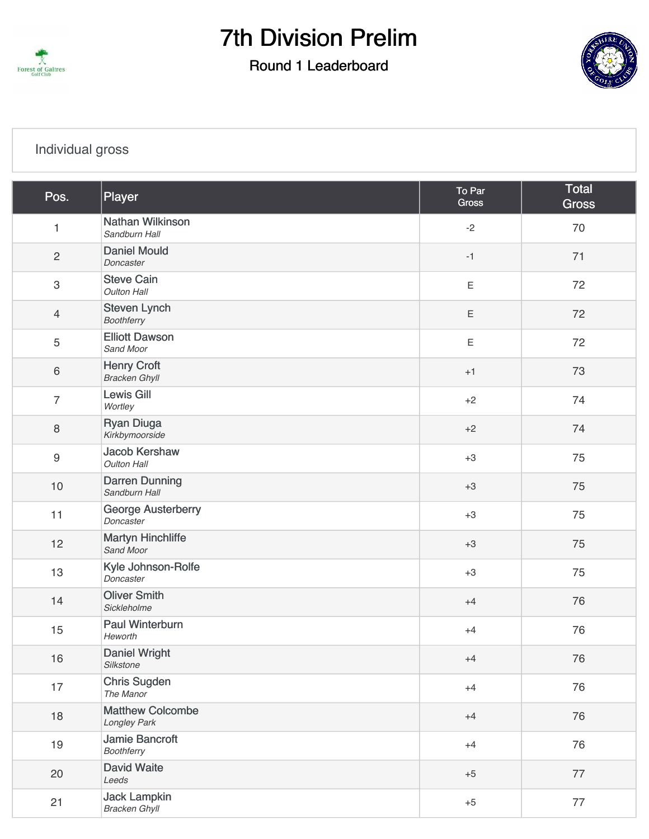

### Round 1 Leaderboard



### [Individual gross](https://cdn2.golfgenius.com/v2tournaments/7001312458224728594?called_from=&round_index=1)

| Pos.             | Player                                      | To Par<br><b>Gross</b> | Total<br><b>Gross</b> |
|------------------|---------------------------------------------|------------------------|-----------------------|
| 1                | Nathan Wilkinson<br>Sandburn Hall           | $-2$                   | 70                    |
| $\mathbf{2}$     | <b>Daniel Mould</b><br>Doncaster            | $-1$                   | 71                    |
| 3                | <b>Steve Cain</b><br><b>Oulton Hall</b>     | $\mathsf E$            | 72                    |
| $\overline{4}$   | <b>Steven Lynch</b><br><b>Boothferry</b>    | $\mathsf E$            | 72                    |
| 5                | <b>Elliott Dawson</b><br>Sand Moor          | $\mathsf E$            | 72                    |
| 6                | <b>Henry Croft</b><br><b>Bracken Ghyll</b>  | $+1$                   | 73                    |
| $\overline{7}$   | <b>Lewis Gill</b><br>Wortley                | $+2$                   | 74                    |
| 8                | <b>Ryan Diuga</b><br>Kirkbymoorside         | $+2$                   | 74                    |
| $\boldsymbol{9}$ | <b>Jacob Kershaw</b><br><b>Oulton Hall</b>  | $+3$                   | 75                    |
| $10$             | <b>Darren Dunning</b><br>Sandburn Hall      | $+3$                   | 75                    |
| 11               | George Austerberry<br>Doncaster             | $+3$                   | 75                    |
| 12               | <b>Martyn Hinchliffe</b><br>Sand Moor       | $+3$                   | 75                    |
| 13               | Kyle Johnson-Rolfe<br>Doncaster             | $+3$                   | 75                    |
| 14               | <b>Oliver Smith</b><br>Sickleholme          | $+4$                   | 76                    |
| 15               | <b>Paul Winterburn</b><br>Heworth           | $+4$                   | 76                    |
| 16               | Daniel Wright<br>Silkstone                  | $+4$                   | 76                    |
| 17               | <b>Chris Sugden</b><br>The Manor            | $+4$                   | 76                    |
| 18               | <b>Matthew Colcombe</b><br>Longley Park     | $+4$                   | 76                    |
| 19               | <b>Jamie Bancroft</b><br><b>Boothferry</b>  | $+4$                   | 76                    |
| 20               | <b>David Waite</b><br>Leeds                 | $+5$                   | 77                    |
| 21               | <b>Jack Lampkin</b><br><b>Bracken Ghyll</b> | $+5$                   | 77                    |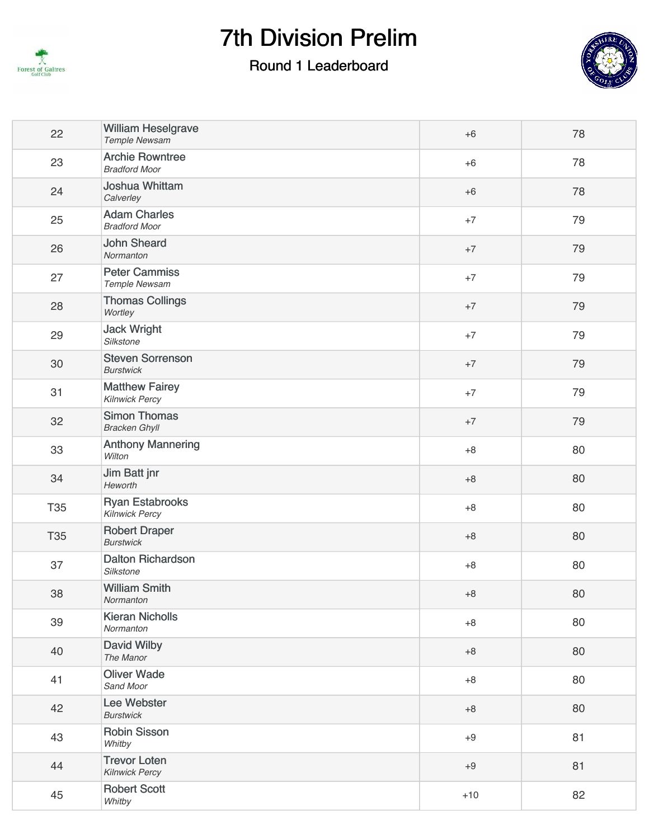

### Round 1 Leaderboard



| <b>Archie Rowntree</b><br>23<br>78<br>$+6$<br><b>Bradford Moor</b><br><b>Joshua Whittam</b><br>24<br>78<br>$+6$<br>Calverley<br><b>Adam Charles</b><br>25<br>79<br>$+7$<br><b>Bradford Moor</b><br><b>John Sheard</b><br>26<br>79<br>$+7$<br>Normanton<br><b>Peter Cammiss</b><br>27<br>79<br>$+7$<br>Temple Newsam<br><b>Thomas Collings</b><br>28<br>79<br>$+7$<br>Wortley<br><b>Jack Wright</b><br>29<br>79<br>$+7$<br>Silkstone<br><b>Steven Sorrenson</b><br>30<br>79<br>$+7$<br><b>Burstwick</b><br><b>Matthew Fairey</b><br>31<br>79<br>$+7$<br><b>Kilnwick Percy</b><br><b>Simon Thomas</b><br>32<br>79<br>$+7$<br><b>Bracken Ghyll</b><br><b>Anthony Mannering</b><br>33<br>80<br>$+8$<br>Wilton<br>Jim Batt jnr<br>34<br>80<br>$+8$<br>Heworth<br><b>Ryan Estabrooks</b><br><b>T35</b><br>80<br>$+8$<br><b>Kilnwick Percy</b><br><b>Robert Draper</b><br><b>T35</b><br>80<br>$+8$<br><b>Burstwick</b><br><b>Dalton Richardson</b><br>37<br>80<br>$+8$<br>Silkstone<br><b>William Smith</b><br>38<br>80<br>$+8$<br>Normanton<br><b>Kieran Nicholls</b><br>39<br>80<br>$+8$<br>Normanton<br>David Wilby<br>40<br>80<br>$+8$<br>The Manor<br><b>Oliver Wade</b><br>41<br>80<br>$+8$<br>Sand Moor<br>Lee Webster<br>42<br>80<br>$+8$<br><b>Burstwick</b><br><b>Robin Sisson</b><br>43<br>81<br>$+9$<br>Whitby<br><b>Trevor Loten</b><br>44<br>81<br>$+9$<br><b>Kilnwick Percy</b><br><b>Robert Scott</b><br>45<br>82<br>$+10$<br>Whitby | 22 | <b>William Heselgrave</b><br><b>Temple Newsam</b> | $+6$ | 78 |
|-----------------------------------------------------------------------------------------------------------------------------------------------------------------------------------------------------------------------------------------------------------------------------------------------------------------------------------------------------------------------------------------------------------------------------------------------------------------------------------------------------------------------------------------------------------------------------------------------------------------------------------------------------------------------------------------------------------------------------------------------------------------------------------------------------------------------------------------------------------------------------------------------------------------------------------------------------------------------------------------------------------------------------------------------------------------------------------------------------------------------------------------------------------------------------------------------------------------------------------------------------------------------------------------------------------------------------------------------------------------------------------------------------------------------------------------------|----|---------------------------------------------------|------|----|
|                                                                                                                                                                                                                                                                                                                                                                                                                                                                                                                                                                                                                                                                                                                                                                                                                                                                                                                                                                                                                                                                                                                                                                                                                                                                                                                                                                                                                                               |    |                                                   |      |    |
|                                                                                                                                                                                                                                                                                                                                                                                                                                                                                                                                                                                                                                                                                                                                                                                                                                                                                                                                                                                                                                                                                                                                                                                                                                                                                                                                                                                                                                               |    |                                                   |      |    |
|                                                                                                                                                                                                                                                                                                                                                                                                                                                                                                                                                                                                                                                                                                                                                                                                                                                                                                                                                                                                                                                                                                                                                                                                                                                                                                                                                                                                                                               |    |                                                   |      |    |
|                                                                                                                                                                                                                                                                                                                                                                                                                                                                                                                                                                                                                                                                                                                                                                                                                                                                                                                                                                                                                                                                                                                                                                                                                                                                                                                                                                                                                                               |    |                                                   |      |    |
|                                                                                                                                                                                                                                                                                                                                                                                                                                                                                                                                                                                                                                                                                                                                                                                                                                                                                                                                                                                                                                                                                                                                                                                                                                                                                                                                                                                                                                               |    |                                                   |      |    |
|                                                                                                                                                                                                                                                                                                                                                                                                                                                                                                                                                                                                                                                                                                                                                                                                                                                                                                                                                                                                                                                                                                                                                                                                                                                                                                                                                                                                                                               |    |                                                   |      |    |
|                                                                                                                                                                                                                                                                                                                                                                                                                                                                                                                                                                                                                                                                                                                                                                                                                                                                                                                                                                                                                                                                                                                                                                                                                                                                                                                                                                                                                                               |    |                                                   |      |    |
|                                                                                                                                                                                                                                                                                                                                                                                                                                                                                                                                                                                                                                                                                                                                                                                                                                                                                                                                                                                                                                                                                                                                                                                                                                                                                                                                                                                                                                               |    |                                                   |      |    |
|                                                                                                                                                                                                                                                                                                                                                                                                                                                                                                                                                                                                                                                                                                                                                                                                                                                                                                                                                                                                                                                                                                                                                                                                                                                                                                                                                                                                                                               |    |                                                   |      |    |
|                                                                                                                                                                                                                                                                                                                                                                                                                                                                                                                                                                                                                                                                                                                                                                                                                                                                                                                                                                                                                                                                                                                                                                                                                                                                                                                                                                                                                                               |    |                                                   |      |    |
|                                                                                                                                                                                                                                                                                                                                                                                                                                                                                                                                                                                                                                                                                                                                                                                                                                                                                                                                                                                                                                                                                                                                                                                                                                                                                                                                                                                                                                               |    |                                                   |      |    |
|                                                                                                                                                                                                                                                                                                                                                                                                                                                                                                                                                                                                                                                                                                                                                                                                                                                                                                                                                                                                                                                                                                                                                                                                                                                                                                                                                                                                                                               |    |                                                   |      |    |
|                                                                                                                                                                                                                                                                                                                                                                                                                                                                                                                                                                                                                                                                                                                                                                                                                                                                                                                                                                                                                                                                                                                                                                                                                                                                                                                                                                                                                                               |    |                                                   |      |    |
|                                                                                                                                                                                                                                                                                                                                                                                                                                                                                                                                                                                                                                                                                                                                                                                                                                                                                                                                                                                                                                                                                                                                                                                                                                                                                                                                                                                                                                               |    |                                                   |      |    |
|                                                                                                                                                                                                                                                                                                                                                                                                                                                                                                                                                                                                                                                                                                                                                                                                                                                                                                                                                                                                                                                                                                                                                                                                                                                                                                                                                                                                                                               |    |                                                   |      |    |
|                                                                                                                                                                                                                                                                                                                                                                                                                                                                                                                                                                                                                                                                                                                                                                                                                                                                                                                                                                                                                                                                                                                                                                                                                                                                                                                                                                                                                                               |    |                                                   |      |    |
|                                                                                                                                                                                                                                                                                                                                                                                                                                                                                                                                                                                                                                                                                                                                                                                                                                                                                                                                                                                                                                                                                                                                                                                                                                                                                                                                                                                                                                               |    |                                                   |      |    |
|                                                                                                                                                                                                                                                                                                                                                                                                                                                                                                                                                                                                                                                                                                                                                                                                                                                                                                                                                                                                                                                                                                                                                                                                                                                                                                                                                                                                                                               |    |                                                   |      |    |
|                                                                                                                                                                                                                                                                                                                                                                                                                                                                                                                                                                                                                                                                                                                                                                                                                                                                                                                                                                                                                                                                                                                                                                                                                                                                                                                                                                                                                                               |    |                                                   |      |    |
|                                                                                                                                                                                                                                                                                                                                                                                                                                                                                                                                                                                                                                                                                                                                                                                                                                                                                                                                                                                                                                                                                                                                                                                                                                                                                                                                                                                                                                               |    |                                                   |      |    |
|                                                                                                                                                                                                                                                                                                                                                                                                                                                                                                                                                                                                                                                                                                                                                                                                                                                                                                                                                                                                                                                                                                                                                                                                                                                                                                                                                                                                                                               |    |                                                   |      |    |
|                                                                                                                                                                                                                                                                                                                                                                                                                                                                                                                                                                                                                                                                                                                                                                                                                                                                                                                                                                                                                                                                                                                                                                                                                                                                                                                                                                                                                                               |    |                                                   |      |    |
|                                                                                                                                                                                                                                                                                                                                                                                                                                                                                                                                                                                                                                                                                                                                                                                                                                                                                                                                                                                                                                                                                                                                                                                                                                                                                                                                                                                                                                               |    |                                                   |      |    |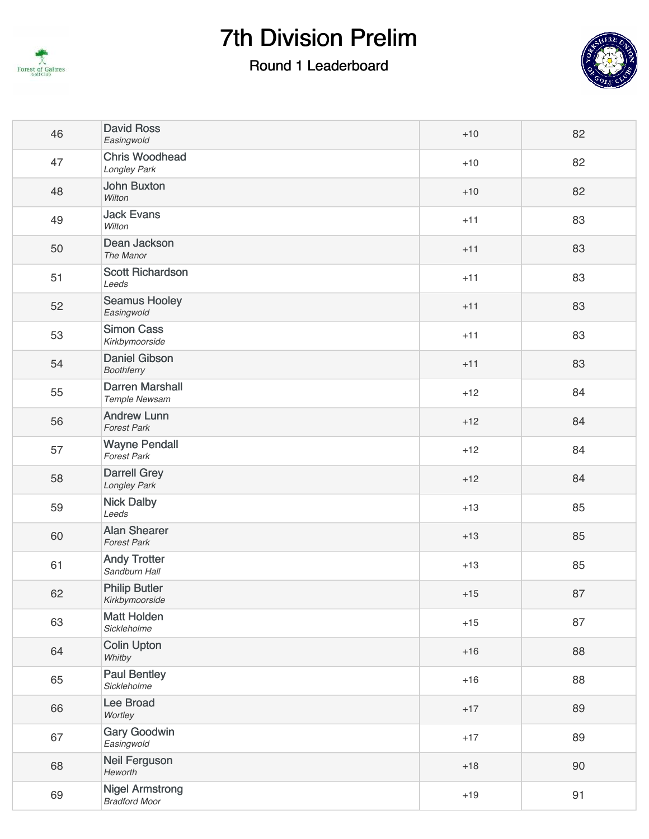

### Round 1 Leaderboard



| 46 | <b>David Ross</b><br>Easingwold                | $+10$ | 82 |
|----|------------------------------------------------|-------|----|
| 47 | <b>Chris Woodhead</b><br>Longley Park          | $+10$ | 82 |
| 48 | <b>John Buxton</b><br>Wilton                   | $+10$ | 82 |
| 49 | <b>Jack Evans</b><br>Wilton                    | $+11$ | 83 |
| 50 | Dean Jackson<br>The Manor                      | $+11$ | 83 |
| 51 | <b>Scott Richardson</b><br>Leeds               | $+11$ | 83 |
| 52 | <b>Seamus Hooley</b><br>Easingwold             | $+11$ | 83 |
| 53 | <b>Simon Cass</b><br>Kirkbymoorside            | $+11$ | 83 |
| 54 | <b>Daniel Gibson</b><br><b>Boothferry</b>      | $+11$ | 83 |
| 55 | <b>Darren Marshall</b><br>Temple Newsam        | $+12$ | 84 |
| 56 | <b>Andrew Lunn</b><br><b>Forest Park</b>       | $+12$ | 84 |
| 57 | <b>Wayne Pendall</b><br><b>Forest Park</b>     | $+12$ | 84 |
| 58 | <b>Darrell Grey</b><br>Longley Park            | $+12$ | 84 |
| 59 | <b>Nick Dalby</b><br>Leeds                     | $+13$ | 85 |
| 60 | <b>Alan Shearer</b><br><b>Forest Park</b>      | $+13$ | 85 |
| 61 | <b>Andy Trotter</b><br>Sandburn Hall           | $+13$ | 85 |
| 62 | <b>Philip Butler</b><br>Kirkbymoorside         | $+15$ | 87 |
| 63 | <b>Matt Holden</b><br>Sickleholme              | $+15$ | 87 |
| 64 | <b>Colin Upton</b><br>Whitby                   | $+16$ | 88 |
| 65 | <b>Paul Bentley</b><br>Sickleholme             | $+16$ | 88 |
| 66 | <b>Lee Broad</b><br>Wortley                    | $+17$ | 89 |
| 67 | <b>Gary Goodwin</b><br>Easingwold              | $+17$ | 89 |
| 68 | <b>Neil Ferguson</b><br>Heworth                | $+18$ | 90 |
| 69 | <b>Nigel Armstrong</b><br><b>Bradford Moor</b> | $+19$ | 91 |
|    |                                                |       |    |